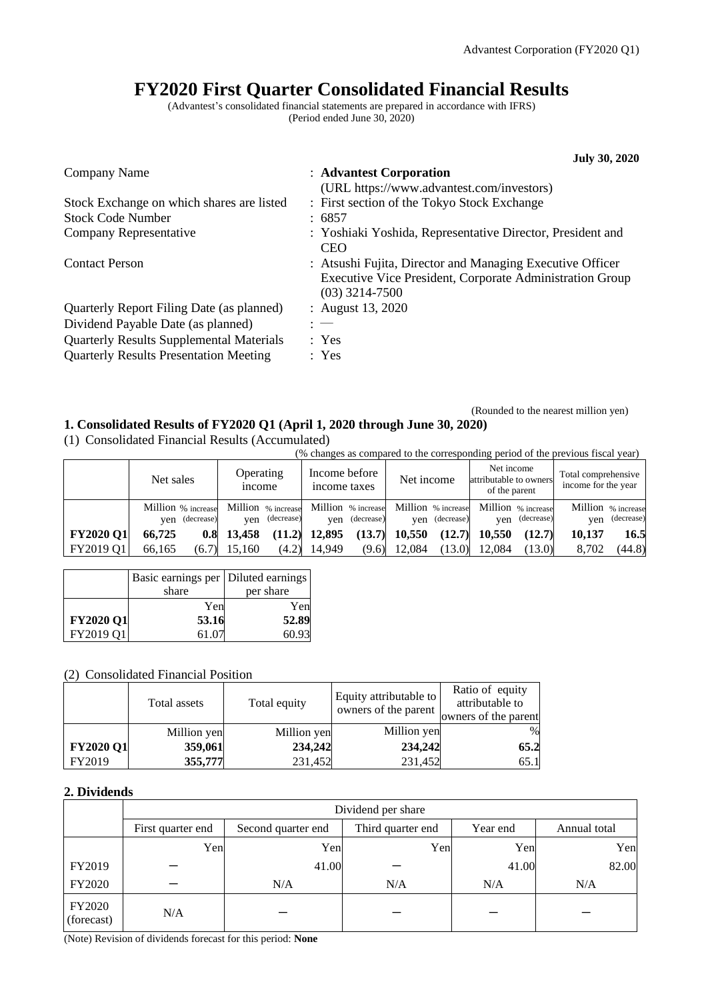# **FY2020 First Quarter Consolidated Financial Results**

(Advantest's consolidated financial statements are prepared in accordance with IFRS) (Period ended June 30, 2020)

| <b>July 30, 2020</b>                                                                                                                      |
|-------------------------------------------------------------------------------------------------------------------------------------------|
| : Advantest Corporation                                                                                                                   |
| (URL https://www.advantest.com/investors)                                                                                                 |
| : First section of the Tokyo Stock Exchange                                                                                               |
| : 6857                                                                                                                                    |
| : Yoshiaki Yoshida, Representative Director, President and<br><b>CEO</b>                                                                  |
| : Atsushi Fujita, Director and Managing Executive Officer<br>Executive Vice President, Corporate Administration Group<br>$(03)$ 3214-7500 |
| : August 13, 2020                                                                                                                         |
| $: -$                                                                                                                                     |
| : Yes                                                                                                                                     |
| : Yes                                                                                                                                     |
|                                                                                                                                           |

#### (Rounded to the nearest million yen) **1. Consolidated Results of FY2020 Q1 (April 1, 2020 through June 30, 2020)**

(1) Consolidated Financial Results (Accumulated)

(% changes as compared to the corresponding period of the previous fiscal year) Net sales Operating income Income before income taxes Ret income Net income attributable to owners of the parent Total comprehensive income for the year Million yen % increase (decrease) Million % increase yen (decrease) Million % increase yen (decrease) Million % increase yen (decrease) Million % increase yen (decrease) Million % increase yen  $\frac{1}{6}$  decrease

|                                                                                                  | ven <i>(decrease)</i> |  |  | yen (decrease) yen (decrease) yen (decrease) |  | yen (decrease) |                                                                             | ven (decrease) |
|--------------------------------------------------------------------------------------------------|-----------------------|--|--|----------------------------------------------|--|----------------|-----------------------------------------------------------------------------|----------------|
| $\vert$ FY2020 Q1 66,725 0.8 13,458 (11.2) 12,895 (13.7) 10,550 (12.7) 10,550 (12.7) 10,137 16.5 |                       |  |  |                                              |  |                |                                                                             |                |
| $ $ FY2019 Q1 66,165                                                                             |                       |  |  |                                              |  |                | $(6.7)$ 15,160 $(4.2)$ 14,949 $(9.6)$ 12,084 $(13.0)$ 12,084 $(13.0)$ 8,702 | (44.8)         |
|                                                                                                  |                       |  |  |                                              |  |                |                                                                             |                |

|                  | Basic earnings per   Diluted earnings |           |
|------------------|---------------------------------------|-----------|
|                  | share                                 | per share |
|                  | Yen                                   | Yen       |
| <b>FY2020 Q1</b> | 53.16                                 | 52.89     |
| FY2019 O1        | 61.07                                 | 60.93     |

# (2) Consolidated Financial Position

|                  | Total assets | Total equity | Equity attributable to<br>owners of the parent | Ratio of equity<br>attributable to<br>owners of the parent |
|------------------|--------------|--------------|------------------------------------------------|------------------------------------------------------------|
|                  | Million yen  | Million yen  | Million yen                                    | $\%$                                                       |
| <b>FY2020 Q1</b> | 359,061      | 234,242      | 234,242                                        | 65.2                                                       |
| FY2019           | 355,777      | 231,452      | 231,452                                        | 65.1                                                       |

### **2. Dividends**

|                      | Dividend per share |              |     |       |       |  |  |  |
|----------------------|--------------------|--------------|-----|-------|-------|--|--|--|
|                      | First quarter end  | Annual total |     |       |       |  |  |  |
|                      | Yen                | Yen          | Yen | Yen   | Yen   |  |  |  |
| FY2019               |                    | 41.00        |     | 41.00 | 82.00 |  |  |  |
| FY2020               |                    | N/A          | N/A | N/A   | N/A   |  |  |  |
| FY2020<br>(forecast) | N/A                |              |     |       |       |  |  |  |

(Note) Revision of dividends forecast for this period: **None**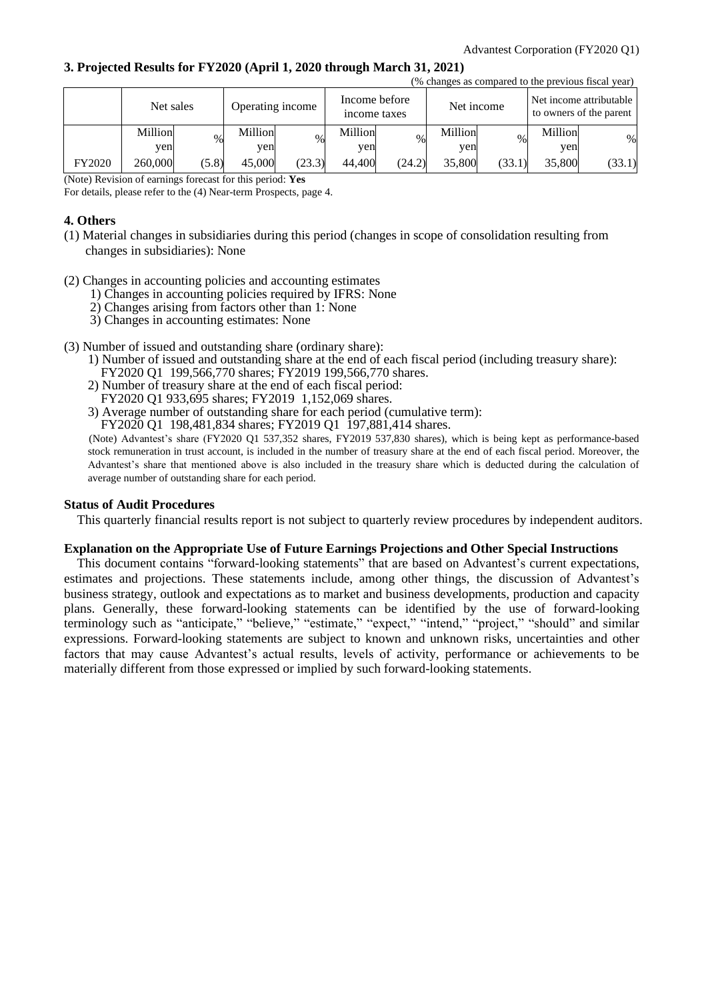### **3. Projected Results for FY2020 (April 1, 2020 through March 31, 2021)**

|        |           |       |                  |        |                               |        |            |        |         | (% changes as compared to the previous fiscal year) |
|--------|-----------|-------|------------------|--------|-------------------------------|--------|------------|--------|---------|-----------------------------------------------------|
|        | Net sales |       | Operating income |        | Income before<br>income taxes |        | Net income |        |         | Net income attributable<br>to owners of the parent  |
|        | Million   | %     | Million          | $\%$   | Million                       | %      | Million    | $\%$   | Million | $\%$                                                |
|        | yen       |       | yen              |        | yen                           |        | ven        |        | ven     |                                                     |
| FY2020 | 260,000   | (5.8) | 45,000           | (23.3) | 44,400                        | (24.2) | 35,800     | (33.1) | 35,800  | (33.1)                                              |

(Note) Revision of earnings forecast for this period: **Yes**

For details, please refer to the (4) Near-term Prospects, page 4.

### **4. Others**

- (1) Material changes in subsidiaries during this period (changes in scope of consolidation resulting from changes in subsidiaries): None
- (2) Changes in accounting policies and accounting estimates
	- 1) Changes in accounting policies required by IFRS: None
	- 2) Changes arising from factors other than 1: None
	- 3) Changes in accounting estimates: None
- (3) Number of issued and outstanding share (ordinary share):
	- 1) Number of issued and outstanding share at the end of each fiscal period (including treasury share): FY2020 Q1 199,566,770 shares; FY2019 199,566,770 shares.
	- 2) Number of treasury share at the end of each fiscal period:
	- FY2020 Q1 933,695 shares; FY2019 1,152,069 shares.
	- 3) Average number of outstanding share for each period (cumulative term):
	- FY2020 Q1 198,481,834 shares; FY2019 Q1 197,881,414 shares.

(Note) Advantest's share (FY2020 Q1 537,352 shares, FY2019 537,830 shares), which is being kept as performance-based stock remuneration in trust account, is included in the number of treasury share at the end of each fiscal period. Moreover, the Advantest's share that mentioned above is also included in the treasury share which is deducted during the calculation of average number of outstanding share for each period.

### **Status of Audit Procedures**

This quarterly financial results report is not subject to quarterly review procedures by independent auditors.

### **Explanation on the Appropriate Use of Future Earnings Projections and Other Special Instructions**

This document contains "forward-looking statements" that are based on Advantest's current expectations, estimates and projections. These statements include, among other things, the discussion of Advantest's business strategy, outlook and expectations as to market and business developments, production and capacity plans. Generally, these forward-looking statements can be identified by the use of forward-looking terminology such as "anticipate," "believe," "estimate," "expect," "intend," "project," "should" and similar expressions. Forward-looking statements are subject to known and unknown risks, uncertainties and other factors that may cause Advantest's actual results, levels of activity, performance or achievements to be materially different from those expressed or implied by such forward-looking statements.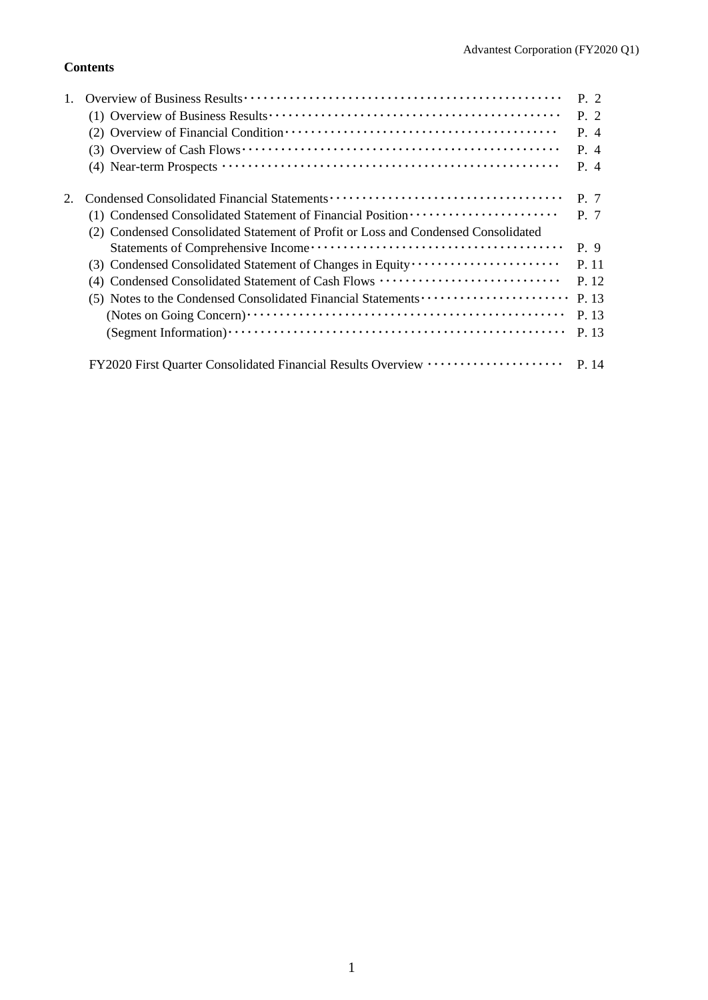# **Contents**

|                                                                                                                                     | P. 2  |
|-------------------------------------------------------------------------------------------------------------------------------------|-------|
|                                                                                                                                     | P. 2  |
|                                                                                                                                     | P. 4  |
| $(3)$ Overview of Cash Flows $\cdots$ $\cdots$ $\cdots$ $\cdots$ $\cdots$ $\cdots$ $\cdots$ $\cdots$ $\cdots$ $\cdots$              | P. 4  |
| (4) Near-term Prospects $\cdots$ $\cdots$ $\cdots$ $\cdots$ $\cdots$ $\cdots$ $\cdots$ $\cdots$ $\cdots$ $\cdots$ $\cdots$ $\cdots$ | P. 4  |
|                                                                                                                                     | P. 7  |
| (1) Condensed Consolidated Statement of Financial Position ······················                                                   | P. 7  |
| (2) Condensed Consolidated Statement of Profit or Loss and Condensed Consolidated                                                   |       |
|                                                                                                                                     | P. 9  |
|                                                                                                                                     | P. 11 |
| (4) Condensed Consolidated Statement of Cash Flows                                                                                  | P. 12 |
| (5) Notes to the Condensed Consolidated Financial Statements                                                                        | P. 13 |
|                                                                                                                                     | P. 13 |
|                                                                                                                                     | P. 13 |
| FY2020 First Quarter Consolidated Financial Results Overview ····················                                                   | P 14  |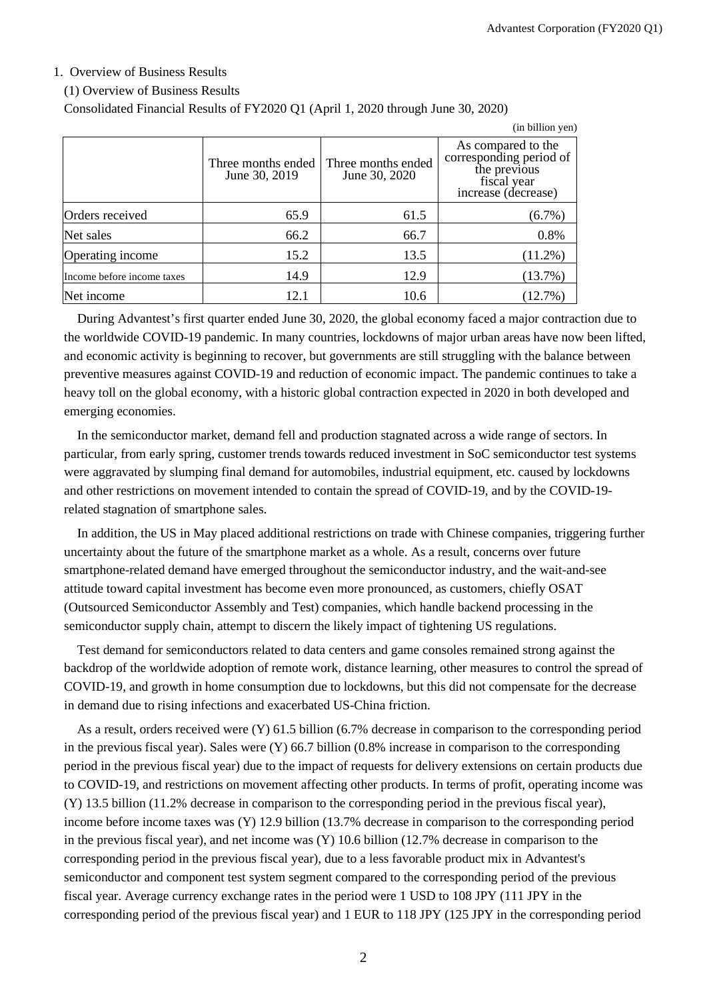### 1. Overview of Business Results

#### (1) Overview of Business Results

Consolidated Financial Results of FY2020 Q1 (April 1, 2020 through June 30, 2020)

|                            |                                     |                                     | (in billion yen)                                                                                    |
|----------------------------|-------------------------------------|-------------------------------------|-----------------------------------------------------------------------------------------------------|
|                            | Three months ended<br>June 30, 2019 | Three months ended<br>June 30, 2020 | As compared to the<br>corresponding period of<br>the previous<br>fiscal year<br>increase (decrease) |
| Orders received            | 65.9                                | 61.5                                | $(6.7\%)$                                                                                           |
| Net sales                  | 66.2                                | 66.7                                | 0.8%                                                                                                |
| Operating income           | 15.2                                | 13.5                                | $(11.2\%)$                                                                                          |
| Income before income taxes | 14.9                                | 12.9                                | (13.7%)                                                                                             |
| Net income                 | 12.1                                | 10.6                                | $(12.7\%)$                                                                                          |

During Advantest's first quarter ended June 30, 2020, the global economy faced a major contraction due to the worldwide COVID-19 pandemic. In many countries, lockdowns of major urban areas have now been lifted, and economic activity is beginning to recover, but governments are still struggling with the balance between preventive measures against COVID-19 and reduction of economic impact. The pandemic continues to take a heavy toll on the global economy, with a historic global contraction expected in 2020 in both developed and emerging economies.

In the semiconductor market, demand fell and production stagnated across a wide range of sectors. In particular, from early spring, customer trends towards reduced investment in SoC semiconductor test systems were aggravated by slumping final demand for automobiles, industrial equipment, etc. caused by lockdowns and other restrictions on movement intended to contain the spread of COVID-19, and by the COVID-19 related stagnation of smartphone sales.

In addition, the US in May placed additional restrictions on trade with Chinese companies, triggering further uncertainty about the future of the smartphone market as a whole. As a result, concerns over future smartphone-related demand have emerged throughout the semiconductor industry, and the wait-and-see attitude toward capital investment has become even more pronounced, as customers, chiefly OSAT (Outsourced Semiconductor Assembly and Test) companies, which handle backend processing in the semiconductor supply chain, attempt to discern the likely impact of tightening US regulations.

Test demand for semiconductors related to data centers and game consoles remained strong against the backdrop of the worldwide adoption of remote work, distance learning, other measures to control the spread of COVID-19, and growth in home consumption due to lockdowns, but this did not compensate for the decrease in demand due to rising infections and exacerbated US-China friction.

As a result, orders received were (Y) 61.5 billion (6.7% decrease in comparison to the corresponding period in the previous fiscal year). Sales were (Y) 66.7 billion (0.8% increase in comparison to the corresponding period in the previous fiscal year) due to the impact of requests for delivery extensions on certain products due to COVID-19, and restrictions on movement affecting other products. In terms of profit, operating income was (Y) 13.5 billion (11.2% decrease in comparison to the corresponding period in the previous fiscal year), income before income taxes was (Y) 12.9 billion (13.7% decrease in comparison to the corresponding period in the previous fiscal year), and net income was (Y) 10.6 billion (12.7% decrease in comparison to the corresponding period in the previous fiscal year), due to a less favorable product mix in Advantest's semiconductor and component test system segment compared to the corresponding period of the previous fiscal year. Average currency exchange rates in the period were 1 USD to 108 JPY (111 JPY in the corresponding period of the previous fiscal year) and 1 EUR to 118 JPY (125 JPY in the corresponding period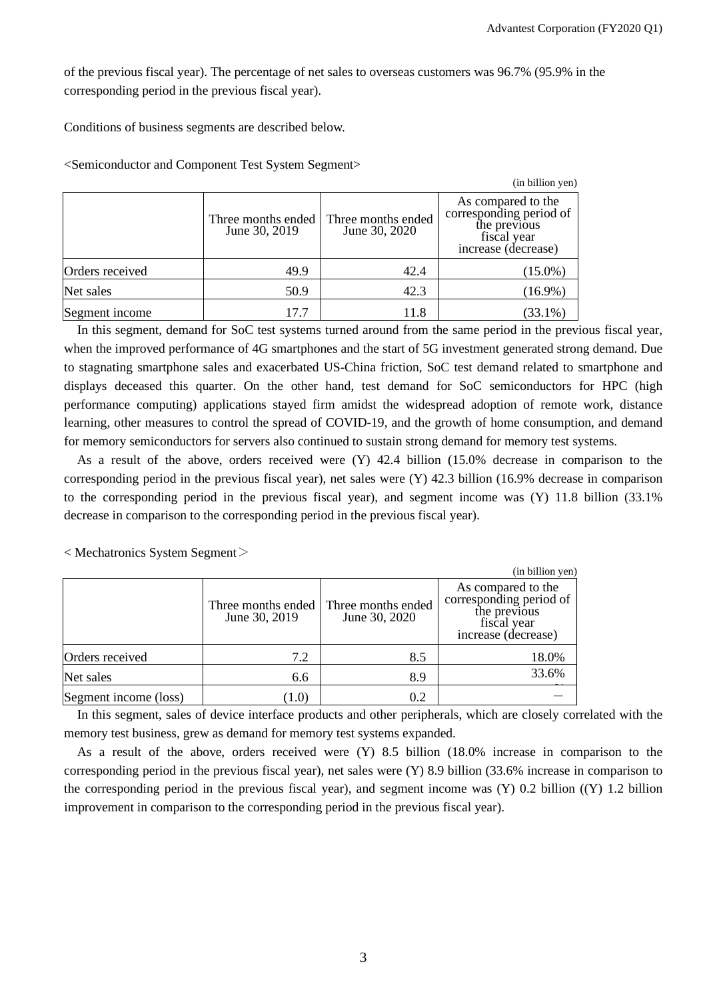of the previous fiscal year). The percentage of net sales to overseas customers was 96.7% (95.9% in the corresponding period in the previous fiscal year).

Conditions of business segments are described below.

<Semiconductor and Component Test System Segment>

|                 |                                     |                                     | (in billion yen)                                                                                    |
|-----------------|-------------------------------------|-------------------------------------|-----------------------------------------------------------------------------------------------------|
|                 | Three months ended<br>June 30, 2019 | Three months ended<br>June 30, 2020 | As compared to the<br>corresponding period of<br>the previous<br>fiscal year<br>increase (decrease) |
| Orders received | 49.9                                | 42.4                                | $(15.0\%)$                                                                                          |
| Net sales       | 50.9                                | 42.3                                | $(16.9\%)$                                                                                          |
| Segment income  | 17.7                                | 11.8                                | $(33.1\%)$                                                                                          |

In this segment, demand for SoC test systems turned around from the same period in the previous fiscal year, when the improved performance of 4G smartphones and the start of 5G investment generated strong demand. Due to stagnating smartphone sales and exacerbated US-China friction, SoC test demand related to smartphone and displays deceased this quarter. On the other hand, test demand for SoC semiconductors for HPC (high performance computing) applications stayed firm amidst the widespread adoption of remote work, distance learning, other measures to control the spread of COVID-19, and the growth of home consumption, and demand for memory semiconductors for servers also continued to sustain strong demand for memory test systems.

As a result of the above, orders received were (Y) 42.4 billion (15.0% decrease in comparison to the corresponding period in the previous fiscal year), net sales were (Y) 42.3 billion (16.9% decrease in comparison to the corresponding period in the previous fiscal year), and segment income was (Y) 11.8 billion (33.1% decrease in comparison to the corresponding period in the previous fiscal year).

 $<$  Mechatronics System Segment $>$ 

|                       |               |                                                        | (in billion yen)                                                                                    |
|-----------------------|---------------|--------------------------------------------------------|-----------------------------------------------------------------------------------------------------|
|                       | June 30, 2019 | Three months ended Three months ended<br>June 30, 2020 | As compared to the<br>corresponding period of<br>the previous<br>fiscal year<br>increase (decrease) |
| Orders received       | 7.2           | 8.5                                                    | 18.0%                                                                                               |
| Net sales             | 6.6           | 8.9                                                    | 33.6%                                                                                               |
| Segment income (loss) | (1.0)         | 0.2                                                    |                                                                                                     |

In this segment, sales of device interface products and other peripherals, which are closely correlated with the memory test business, grew as demand for memory test systems expanded.

As a result of the above, orders received were (Y) 8.5 billion (18.0% increase in comparison to the corresponding period in the previous fiscal year), net sales were (Y) 8.9 billion (33.6% increase in comparison to the corresponding period in the previous fiscal year), and segment income was  $(Y)$  0.2 billion  $((Y)$  1.2 billion improvement in comparison to the corresponding period in the previous fiscal year).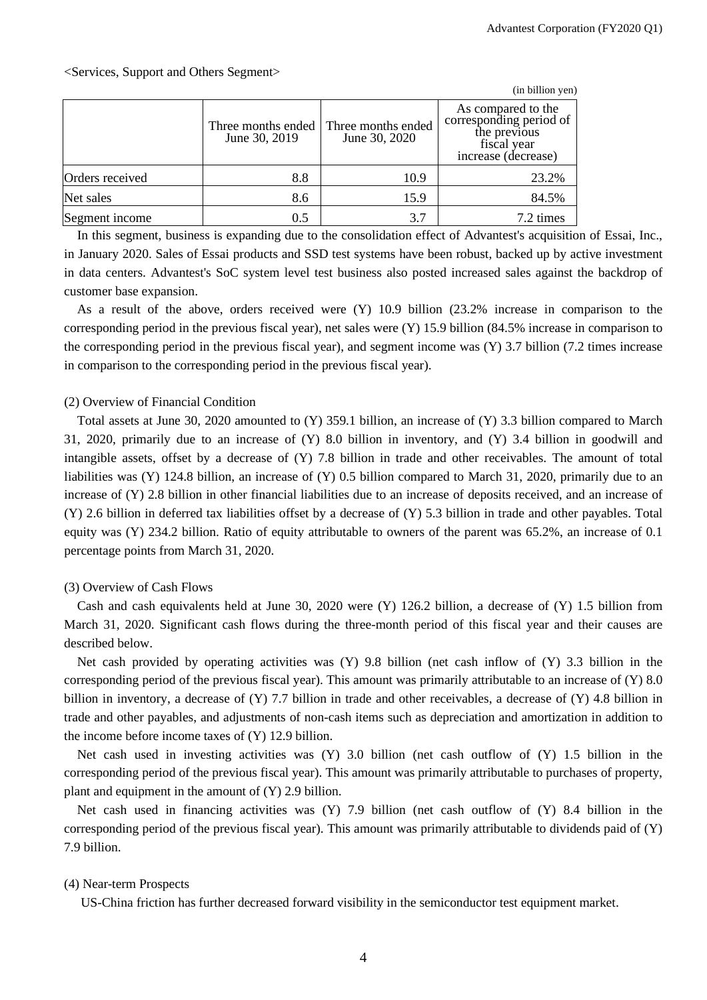|                 |                                     |                                     | (in billion yen)                                                                                    |
|-----------------|-------------------------------------|-------------------------------------|-----------------------------------------------------------------------------------------------------|
|                 | Three months ended<br>June 30, 2019 | Three months ended<br>June 30, 2020 | As compared to the<br>corresponding period of<br>the previous<br>fiscal year<br>increase (decrease) |
| Orders received | 8.8                                 | 10.9                                | 23.2%                                                                                               |
| Net sales       | 8.6                                 | 15.9                                | 84.5%                                                                                               |
| Segment income  | 0.5                                 | 3.7                                 | 7.2 times                                                                                           |

In this segment, business is expanding due to the consolidation effect of Advantest's acquisition of Essai, Inc., in January 2020. Sales of Essai products and SSD test systems have been robust, backed up by active investment in data centers. Advantest's SoC system level test business also posted increased sales against the backdrop of customer base expansion.

As a result of the above, orders received were (Y) 10.9 billion (23.2% increase in comparison to the corresponding period in the previous fiscal year), net sales were (Y) 15.9 billion (84.5% increase in comparison to the corresponding period in the previous fiscal year), and segment income was (Y) 3.7 billion (7.2 times increase in comparison to the corresponding period in the previous fiscal year).

### (2) Overview of Financial Condition

Total assets at June 30, 2020 amounted to (Y) 359.1 billion, an increase of (Y) 3.3 billion compared to March 31, 2020, primarily due to an increase of (Y) 8.0 billion in inventory, and (Y) 3.4 billion in goodwill and intangible assets, offset by a decrease of (Y) 7.8 billion in trade and other receivables. The amount of total liabilities was (Y) 124.8 billion, an increase of (Y) 0.5 billion compared to March 31, 2020, primarily due to an increase of (Y) 2.8 billion in other financial liabilities due to an increase of deposits received, and an increase of (Y) 2.6 billion in deferred tax liabilities offset by a decrease of (Y) 5.3 billion in trade and other payables. Total equity was (Y) 234.2 billion. Ratio of equity attributable to owners of the parent was 65.2%, an increase of 0.1 percentage points from March 31, 2020.

### (3) Overview of Cash Flows

Cash and cash equivalents held at June 30, 2020 were (Y) 126.2 billion, a decrease of (Y) 1.5 billion from March 31, 2020. Significant cash flows during the three-month period of this fiscal year and their causes are described below.

Net cash provided by operating activities was  $(Y)$  9.8 billion (net cash inflow of  $(Y)$  3.3 billion in the corresponding period of the previous fiscal year). This amount was primarily attributable to an increase of (Y) 8.0 billion in inventory, a decrease of (Y) 7.7 billion in trade and other receivables, a decrease of (Y) 4.8 billion in trade and other payables, and adjustments of non-cash items such as depreciation and amortization in addition to the income before income taxes of (Y) 12.9 billion.

Net cash used in investing activities was (Y) 3.0 billion (net cash outflow of (Y) 1.5 billion in the corresponding period of the previous fiscal year). This amount was primarily attributable to purchases of property, plant and equipment in the amount of (Y) 2.9 billion.

Net cash used in financing activities was (Y) 7.9 billion (net cash outflow of (Y) 8.4 billion in the corresponding period of the previous fiscal year). This amount was primarily attributable to dividends paid of (Y) 7.9 billion.

#### (4) Near-term Prospects

US-China friction has further decreased forward visibility in the semiconductor test equipment market.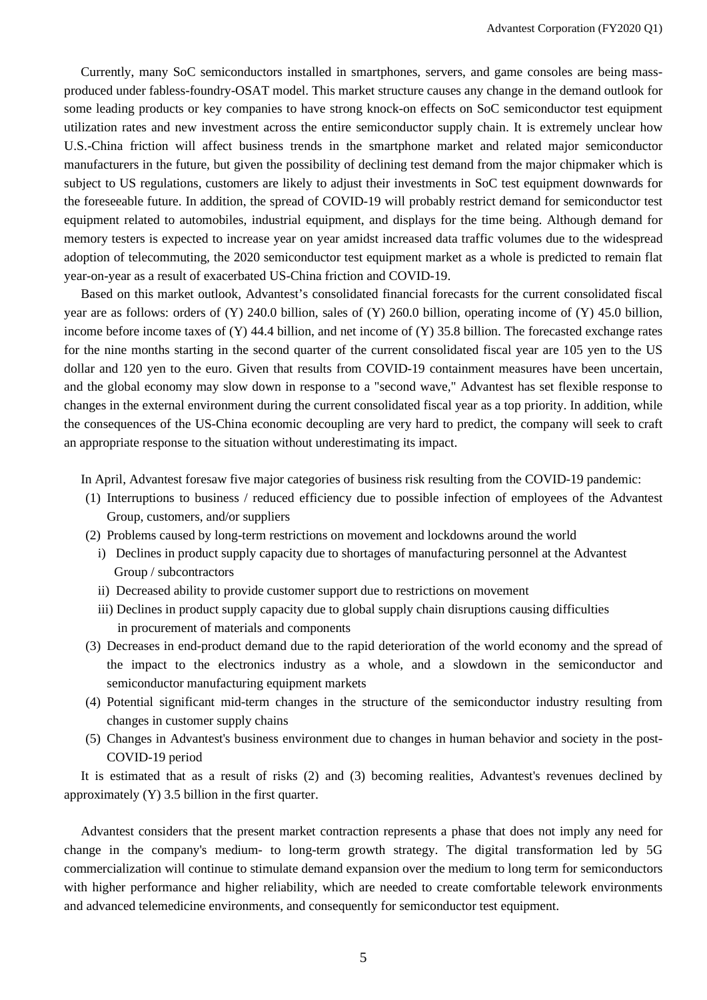Currently, many SoC semiconductors installed in smartphones, servers, and game consoles are being massproduced under fabless-foundry-OSAT model. This market structure causes any change in the demand outlook for some leading products or key companies to have strong knock-on effects on SoC semiconductor test equipment utilization rates and new investment across the entire semiconductor supply chain. It is extremely unclear how U.S.-China friction will affect business trends in the smartphone market and related major semiconductor manufacturers in the future, but given the possibility of declining test demand from the major chipmaker which is subject to US regulations, customers are likely to adjust their investments in SoC test equipment downwards for the foreseeable future. In addition, the spread of COVID-19 will probably restrict demand for semiconductor test equipment related to automobiles, industrial equipment, and displays for the time being. Although demand for memory testers is expected to increase year on year amidst increased data traffic volumes due to the widespread adoption of telecommuting, the 2020 semiconductor test equipment market as a whole is predicted to remain flat year-on-year as a result of exacerbated US-China friction and COVID-19.

Based on this market outlook, Advantest's consolidated financial forecasts for the current consolidated fiscal year are as follows: orders of (Y) 240.0 billion, sales of (Y) 260.0 billion, operating income of (Y) 45.0 billion, income before income taxes of (Y) 44.4 billion, and net income of (Y) 35.8 billion. The forecasted exchange rates for the nine months starting in the second quarter of the current consolidated fiscal year are 105 yen to the US dollar and 120 yen to the euro. Given that results from COVID-19 containment measures have been uncertain, and the global economy may slow down in response to a "second wave," Advantest has set flexible response to changes in the external environment during the current consolidated fiscal year as a top priority. In addition, while the consequences of the US-China economic decoupling are very hard to predict, the company will seek to craft an appropriate response to the situation without underestimating its impact.

In April, Advantest foresaw five major categories of business risk resulting from the COVID-19 pandemic:

- (1) Interruptions to business / reduced efficiency due to possible infection of employees of the Advantest Group, customers, and/or suppliers
- (2) Problems caused by long-term restrictions on movement and lockdowns around the world
	- i) Declines in product supply capacity due to shortages of manufacturing personnel at the Advantest Group / subcontractors
	- ii) Decreased ability to provide customer support due to restrictions on movement
	- iii) Declines in product supply capacity due to global supply chain disruptions causing difficulties in procurement of materials and components
- (3) Decreases in end-product demand due to the rapid deterioration of the world economy and the spread of the impact to the electronics industry as a whole, and a slowdown in the semiconductor and semiconductor manufacturing equipment markets
- (4) Potential significant mid-term changes in the structure of the semiconductor industry resulting from changes in customer supply chains
- (5) Changes in Advantest's business environment due to changes in human behavior and society in the post-COVID-19 period

It is estimated that as a result of risks (2) and (3) becoming realities, Advantest's revenues declined by approximately (Y) 3.5 billion in the first quarter.

Advantest considers that the present market contraction represents a phase that does not imply any need for change in the company's medium- to long-term growth strategy. The digital transformation led by 5G commercialization will continue to stimulate demand expansion over the medium to long term for semiconductors with higher performance and higher reliability, which are needed to create comfortable telework environments and advanced telemedicine environments, and consequently for semiconductor test equipment.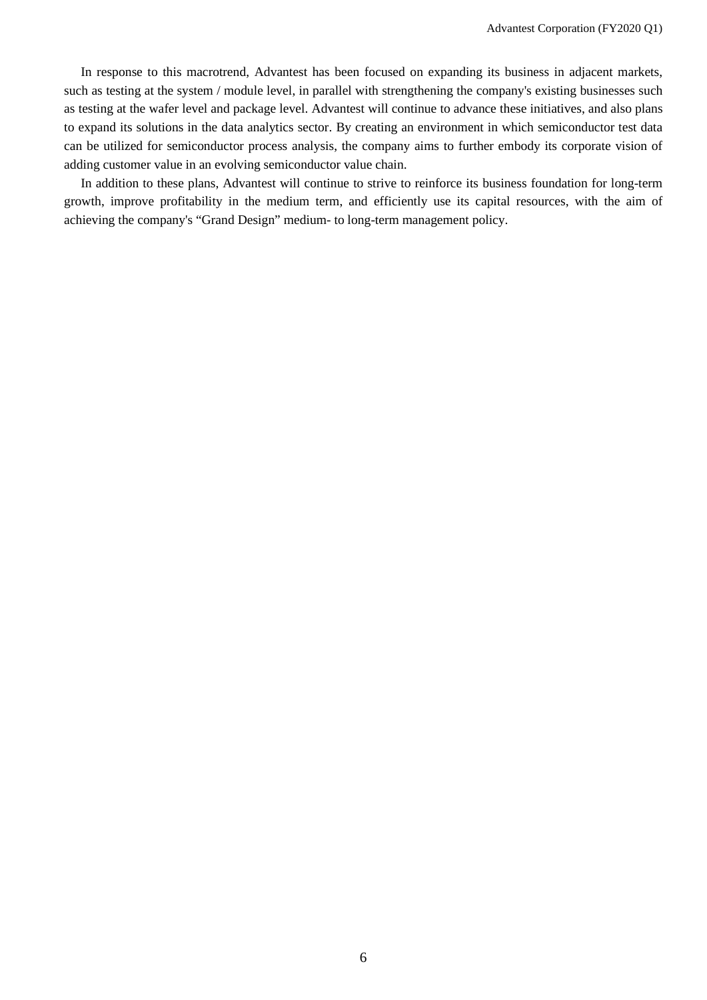In response to this macrotrend, Advantest has been focused on expanding its business in adjacent markets, such as testing at the system / module level, in parallel with strengthening the company's existing businesses such as testing at the wafer level and package level. Advantest will continue to advance these initiatives, and also plans to expand its solutions in the data analytics sector. By creating an environment in which semiconductor test data can be utilized for semiconductor process analysis, the company aims to further embody its corporate vision of adding customer value in an evolving semiconductor value chain.

In addition to these plans, Advantest will continue to strive to reinforce its business foundation for long-term growth, improve profitability in the medium term, and efficiently use its capital resources, with the aim of achieving the company's "Grand Design" medium- to long-term management policy.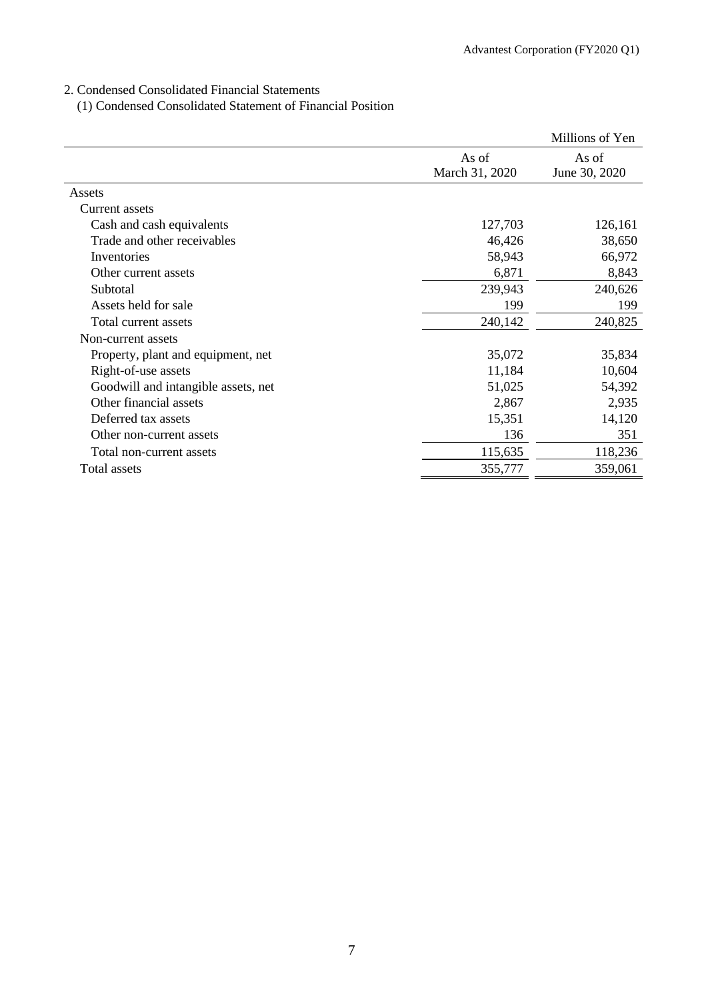# 2. Condensed Consolidated Financial Statements

(1) Condensed Consolidated Statement of Financial Position

|                                     |                         | Millions of Yen        |
|-------------------------------------|-------------------------|------------------------|
|                                     | As of<br>March 31, 2020 | As of<br>June 30, 2020 |
| Assets                              |                         |                        |
| Current assets                      |                         |                        |
| Cash and cash equivalents           | 127,703                 | 126,161                |
| Trade and other receivables         | 46,426                  | 38,650                 |
| Inventories                         | 58,943                  | 66,972                 |
| Other current assets                | 6,871                   | 8,843                  |
| Subtotal                            | 239,943                 | 240,626                |
| Assets held for sale                | 199                     | 199                    |
| Total current assets                | 240,142                 | 240,825                |
| Non-current assets                  |                         |                        |
| Property, plant and equipment, net  | 35,072                  | 35,834                 |
| Right-of-use assets                 | 11,184                  | 10,604                 |
| Goodwill and intangible assets, net | 51,025                  | 54,392                 |
| Other financial assets              | 2,867                   | 2,935                  |
| Deferred tax assets                 | 15,351                  | 14,120                 |
| Other non-current assets            | 136                     | 351                    |
| Total non-current assets            | 115,635                 | 118,236                |
| Total assets                        | 355,777                 | 359,061                |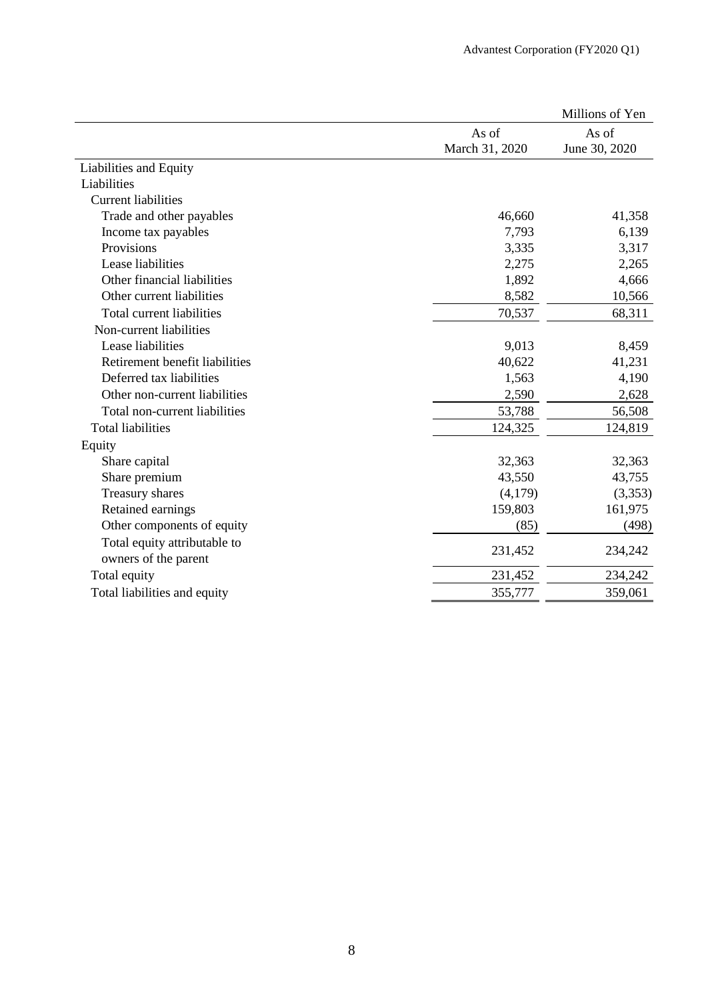|                                |                | Millions of Yen |
|--------------------------------|----------------|-----------------|
|                                | As of          | As of           |
|                                | March 31, 2020 | June 30, 2020   |
| Liabilities and Equity         |                |                 |
| Liabilities                    |                |                 |
| <b>Current liabilities</b>     |                |                 |
| Trade and other payables       | 46,660         | 41,358          |
| Income tax payables            | 7,793          | 6,139           |
| Provisions                     | 3,335          | 3,317           |
| Lease liabilities              | 2,275          | 2,265           |
| Other financial liabilities    | 1,892          | 4,666           |
| Other current liabilities      | 8,582          | 10,566          |
| Total current liabilities      | 70,537         | 68,311          |
| Non-current liabilities        |                |                 |
| Lease liabilities              | 9,013          | 8,459           |
| Retirement benefit liabilities | 40,622         | 41,231          |
| Deferred tax liabilities       | 1,563          | 4,190           |
| Other non-current liabilities  | 2,590          | 2,628           |
| Total non-current liabilities  | 53,788         | 56,508          |
| <b>Total liabilities</b>       | 124,325        | 124,819         |
| Equity                         |                |                 |
| Share capital                  | 32,363         | 32,363          |
| Share premium                  | 43,550         | 43,755          |
| Treasury shares                | (4,179)        | (3,353)         |
| Retained earnings              | 159,803        | 161,975         |
| Other components of equity     | (85)           | (498)           |
| Total equity attributable to   |                |                 |
| owners of the parent           | 231,452        | 234,242         |
| Total equity                   | 231,452        | 234,242         |
| Total liabilities and equity   | 355,777        | 359,061         |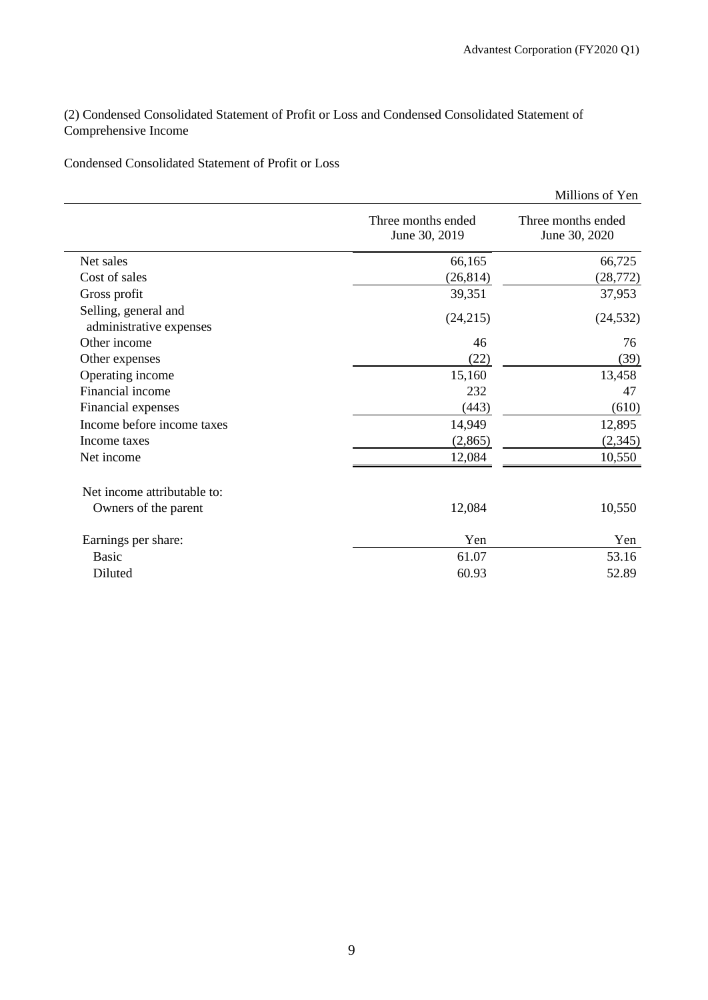(2) Condensed Consolidated Statement of Profit or Loss and Condensed Consolidated Statement of Comprehensive Income

Condensed Consolidated Statement of Profit or Loss

|                                                 |                                     | Millions of Yen                     |
|-------------------------------------------------|-------------------------------------|-------------------------------------|
|                                                 | Three months ended<br>June 30, 2019 | Three months ended<br>June 30, 2020 |
| Net sales                                       | 66,165                              | 66,725                              |
| Cost of sales                                   | (26, 814)                           | (28, 772)                           |
| Gross profit                                    | 39,351                              | 37,953                              |
| Selling, general and<br>administrative expenses | (24,215)                            | (24, 532)                           |
| Other income                                    | 46                                  | 76                                  |
| Other expenses                                  | (22)                                | (39)                                |
| Operating income                                | 15,160                              | 13,458                              |
| Financial income                                | 232                                 | 47                                  |
| Financial expenses                              | (443)                               | (610)                               |
| Income before income taxes                      | 14,949                              | 12,895                              |
| Income taxes                                    | (2,865)                             | (2, 345)                            |
| Net income                                      | 12,084                              | 10,550                              |
| Net income attributable to:                     |                                     |                                     |
| Owners of the parent                            | 12,084                              | 10,550                              |
| Earnings per share:                             | Yen                                 | Yen                                 |
| <b>Basic</b>                                    | 61.07                               | 53.16                               |
| Diluted                                         | 60.93                               | 52.89                               |
|                                                 |                                     |                                     |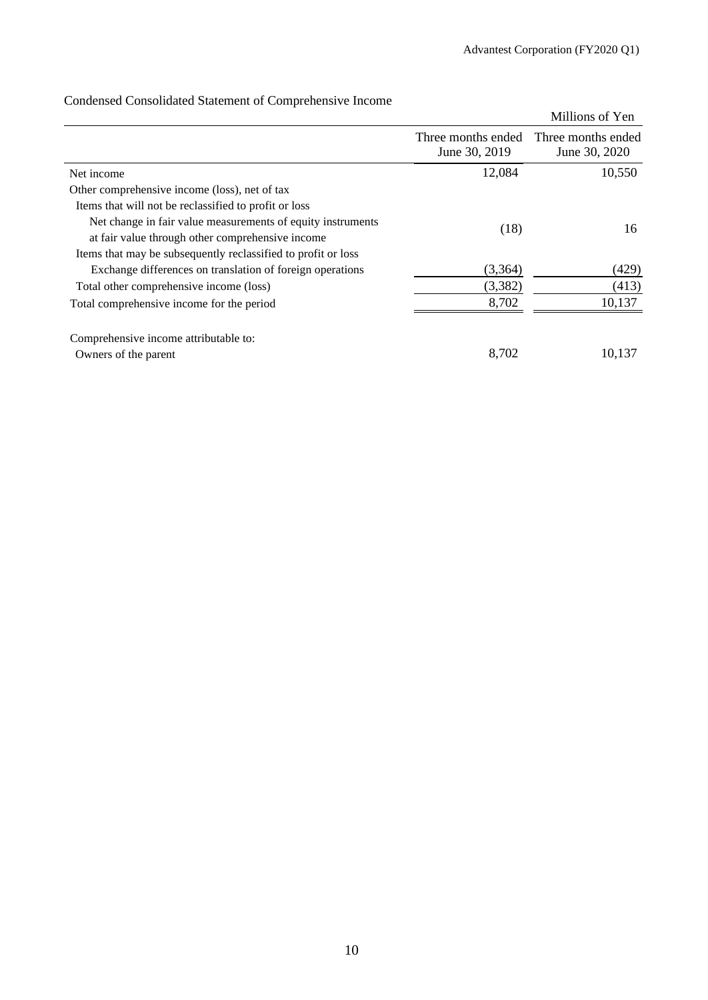|                                                               |                                     | Millions of Yen                     |
|---------------------------------------------------------------|-------------------------------------|-------------------------------------|
|                                                               | Three months ended<br>June 30, 2019 | Three months ended<br>June 30, 2020 |
| Net income                                                    | 12,084                              | 10,550                              |
| Other comprehensive income (loss), net of tax                 |                                     |                                     |
| Items that will not be reclassified to profit or loss         |                                     |                                     |
| Net change in fair value measurements of equity instruments   | (18)                                | 16                                  |
| at fair value through other comprehensive income              |                                     |                                     |
| Items that may be subsequently reclassified to profit or loss |                                     |                                     |
| Exchange differences on translation of foreign operations     | (3,364)                             | (429)                               |
| Total other comprehensive income (loss)                       | (3,382)                             | (413)                               |
| Total comprehensive income for the period                     | 8,702                               | 10,137                              |
| Comprehensive income attributable to:                         |                                     |                                     |
| Owners of the parent                                          | 8,702                               | 10,137                              |

# Condensed Consolidated Statement of Comprehensive Income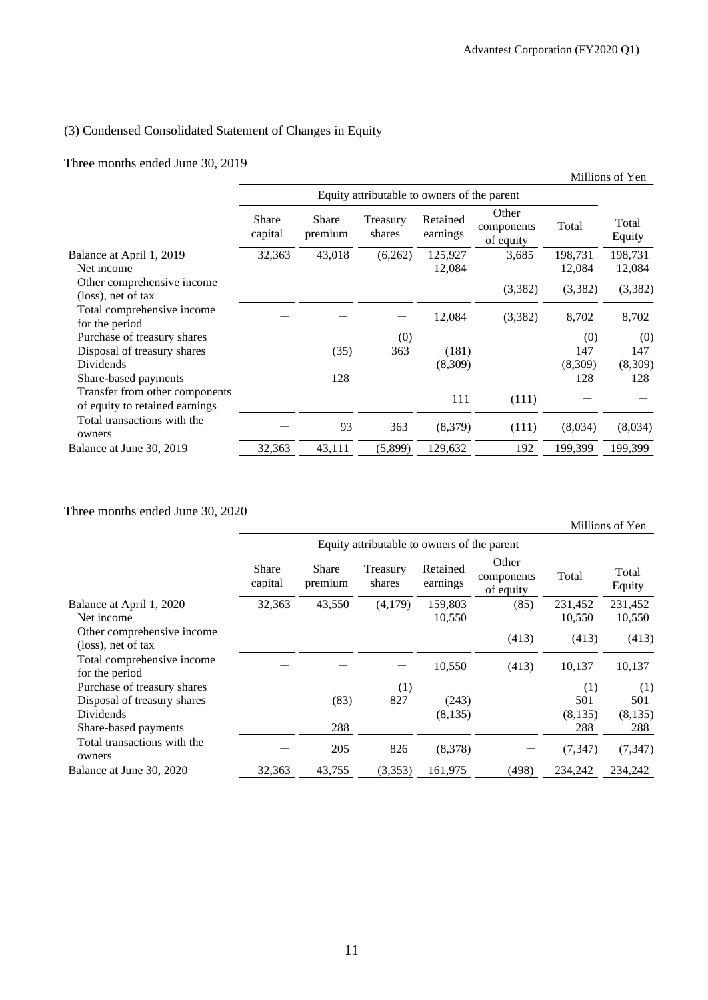### (3) Condensed Consolidated Statement of Changes in Equity

Three months ended June 30, 2019

|                                |                  |                                             |                    |                      |                                  |         | Millions of Yen |  |  |  |
|--------------------------------|------------------|---------------------------------------------|--------------------|----------------------|----------------------------------|---------|-----------------|--|--|--|
|                                |                  | Equity attributable to owners of the parent |                    |                      |                                  |         |                 |  |  |  |
|                                | Share<br>capital | Share<br>premium                            | Treasury<br>shares | Retained<br>earnings | Other<br>components<br>of equity | Total   | Total<br>Equity |  |  |  |
| Balance at April 1, 2019       | 32,363           | 43,018                                      | (6,262)            | 125,927              | 3,685                            | 198,731 | 198,731         |  |  |  |
| Net income                     |                  |                                             |                    | 12,084               |                                  | 12,084  | 12,084          |  |  |  |
| Other comprehensive income     |                  |                                             |                    |                      | (3,382)                          | (3,382) | (3,382)         |  |  |  |
| $(\text{loss})$ , net of tax   |                  |                                             |                    |                      |                                  |         |                 |  |  |  |
| Total comprehensive income     |                  |                                             |                    | 12,084               | (3,382)                          | 8,702   | 8,702           |  |  |  |
| for the period                 |                  |                                             |                    |                      |                                  |         |                 |  |  |  |
| Purchase of treasury shares    |                  |                                             | (0)                |                      |                                  | (0)     | (0)             |  |  |  |
| Disposal of treasury shares    |                  | (35)                                        | 363                | (181)                |                                  | 147     | 147             |  |  |  |
| Dividends                      |                  |                                             |                    | (8,309)              |                                  | (8,309) | (8,309)         |  |  |  |
| Share-based payments           |                  | 128                                         |                    |                      |                                  | 128     | 128             |  |  |  |
| Transfer from other components |                  |                                             |                    | 111                  | (111)                            |         |                 |  |  |  |
| of equity to retained earnings |                  |                                             |                    |                      |                                  |         |                 |  |  |  |
| Total transactions with the    |                  | 93                                          |                    |                      |                                  |         |                 |  |  |  |
| owners                         |                  |                                             | 363                | (8,379)              | (111)                            | (8,034) | (8,034)         |  |  |  |
| Balance at June 30, 2019       | 32,363           | 43,111                                      | (5,899)            | 129,632              | 192                              | 199,399 | 199,399         |  |  |  |

Three months ended June 30, 2020

Millions of Yen Equity attributable to owners of the parent Total Equity Share capital Share premium Treasury shares Retained earnings Other components of equity Total Balance at April 1, 2020 32,363 43,550 (4,179) 159,803 (85) 231,452 231,452 Net income 10,550 10,550 10,550 10,550 10,550 10,550 10,550 10,550 10,550 10,550 10,550 10,550 10,550 10,550 10,550 10,550 10,550 10,550 10,550 10,550 10,550 10,550 10,550 10,550 10,550 10,550 10,550 10,550 10,550 10,550 1 Other comprehensive income Office comprehensive income (413) (413) (413) (413) (413) Total comprehensive income for the period  $10,550$   $(413)$   $10,137$   $10,137$ Purchase of treasury shares (1) (1) (1) (1) (1) (1) (33) 827 (243) 501 501 Disposal of treasury shares (83) 827 (243) 501 501 Dividends (8,135) (8,135) (8,135) Share-based payments 288 288 288 288 288 288 Total transactions with the owners  $-$  205 826 (8,378)  $-$  (7,347) (7,347) Balance at June 30, 2020 32,363 43,755 (3,353) 161,975 (498) 234,242 234,242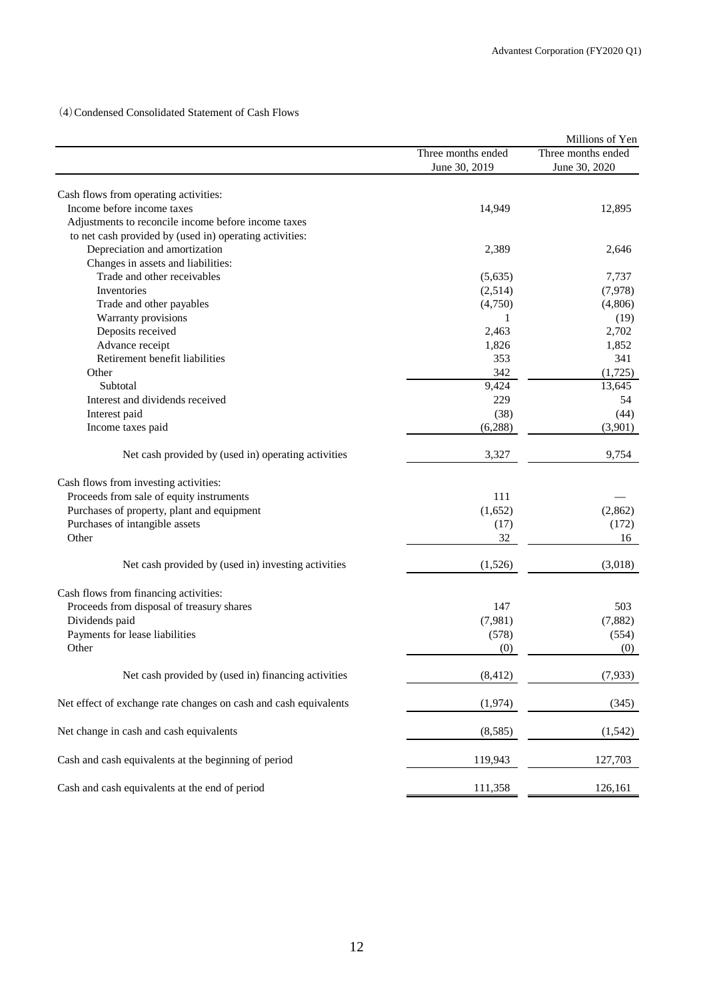(4)Condensed Consolidated Statement of Cash Flows

|                                                                  |                    | Millions of Yen    |
|------------------------------------------------------------------|--------------------|--------------------|
|                                                                  | Three months ended | Three months ended |
|                                                                  | June 30, 2019      | June 30, 2020      |
|                                                                  |                    |                    |
| Cash flows from operating activities:                            |                    |                    |
| Income before income taxes                                       | 14,949             | 12,895             |
| Adjustments to reconcile income before income taxes              |                    |                    |
| to net cash provided by (used in) operating activities:          |                    |                    |
| Depreciation and amortization                                    | 2,389              | 2,646              |
| Changes in assets and liabilities:                               |                    |                    |
| Trade and other receivables                                      | (5,635)            | 7,737              |
| Inventories                                                      | (2,514)            | (7,978)            |
| Trade and other payables                                         | (4,750)            | (4,806)            |
| Warranty provisions                                              | 1                  | (19)               |
| Deposits received                                                | 2,463              | 2,702              |
| Advance receipt                                                  | 1,826              | 1,852              |
| Retirement benefit liabilities                                   | 353                | 341                |
| Other                                                            | 342                | (1,725)            |
| Subtotal                                                         | 9,424              | 13,645             |
| Interest and dividends received                                  | 229                | 54                 |
| Interest paid                                                    | (38)               | (44)               |
| Income taxes paid                                                | (6,288)            | (3,901)            |
| Net cash provided by (used in) operating activities              | 3,327              | 9,754              |
| Cash flows from investing activities:                            |                    |                    |
| Proceeds from sale of equity instruments                         | 111                |                    |
| Purchases of property, plant and equipment                       | (1,652)            | (2,862)            |
| Purchases of intangible assets                                   | (17)               | (172)              |
| Other                                                            | 32                 | 16                 |
|                                                                  |                    |                    |
| Net cash provided by (used in) investing activities              | (1,526)            | (3,018)            |
| Cash flows from financing activities:                            |                    |                    |
| Proceeds from disposal of treasury shares                        | 147                | 503                |
| Dividends paid                                                   | (7,981)            | (7,882)            |
| Payments for lease liabilities                                   | (578)              | (554)              |
| Other                                                            | (0)                | (0)                |
| Net cash provided by (used in) financing activities              | (8, 412)           | (7,933)            |
| Net effect of exchange rate changes on cash and cash equivalents | (1,974)            | (345)              |
| Net change in cash and cash equivalents                          | (8,585)            | (1, 542)           |
| Cash and cash equivalents at the beginning of period             | 119,943            | 127,703            |
| Cash and cash equivalents at the end of period                   | 111,358            | 126,161            |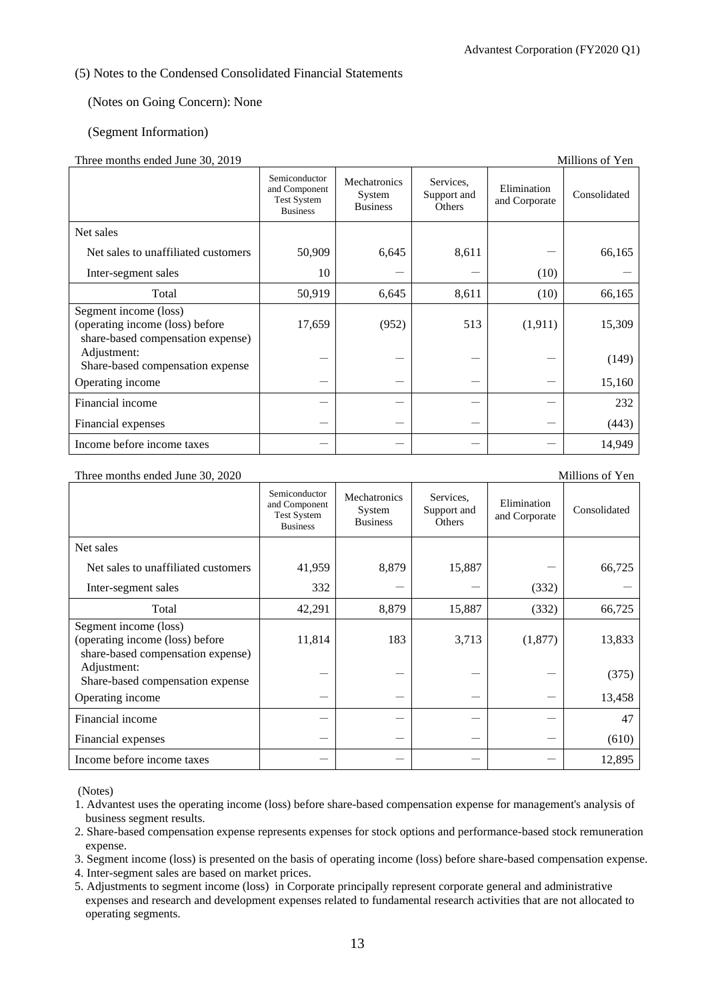### (5) Notes to the Condensed Consolidated Financial Statements

### (Notes on Going Concern): None

### (Segment Information)

### Three months ended June 30, 2019

| THEre months churcu June 30, 2017                                                             |                                                                         |                                           |                                    |                              | мшиона от теп |
|-----------------------------------------------------------------------------------------------|-------------------------------------------------------------------------|-------------------------------------------|------------------------------------|------------------------------|---------------|
|                                                                                               | Semiconductor<br>and Component<br><b>Test System</b><br><b>Business</b> | Mechatronics<br>System<br><b>Business</b> | Services,<br>Support and<br>Others | Elimination<br>and Corporate | Consolidated  |
| Net sales                                                                                     |                                                                         |                                           |                                    |                              |               |
| Net sales to unaffiliated customers                                                           | 50,909                                                                  | 6,645                                     | 8,611                              |                              | 66,165        |
| Inter-segment sales                                                                           | 10                                                                      |                                           |                                    | (10)                         |               |
| Total                                                                                         | 50,919                                                                  | 6,645                                     | 8,611                              | (10)                         | 66,165        |
| Segment income (loss)<br>(operating income (loss) before<br>share-based compensation expense) | 17,659                                                                  | (952)                                     | 513                                | (1, 911)                     | 15,309        |
| Adjustment:<br>Share-based compensation expense                                               |                                                                         |                                           |                                    |                              | (149)         |
| Operating income                                                                              |                                                                         |                                           |                                    |                              | 15,160        |
| Financial income                                                                              |                                                                         |                                           |                                    |                              | 232           |
| Financial expenses                                                                            |                                                                         |                                           |                                    |                              | (443)         |
| Income before income taxes                                                                    |                                                                         |                                           |                                    |                              | 14,949        |

Three months ended June 30, 2020

| $\frac{1}{2}$ monthly ended rane 50, 2020                                                     |                                                                         |                                           |                                    |                              |              |
|-----------------------------------------------------------------------------------------------|-------------------------------------------------------------------------|-------------------------------------------|------------------------------------|------------------------------|--------------|
|                                                                                               | Semiconductor<br>and Component<br><b>Test System</b><br><b>Business</b> | Mechatronics<br>System<br><b>Business</b> | Services.<br>Support and<br>Others | Elimination<br>and Corporate | Consolidated |
| Net sales                                                                                     |                                                                         |                                           |                                    |                              |              |
| Net sales to unaffiliated customers                                                           | 41,959                                                                  | 8,879                                     | 15,887                             |                              | 66,725       |
| Inter-segment sales                                                                           | 332                                                                     |                                           |                                    | (332)                        |              |
| Total                                                                                         | 42,291                                                                  | 8,879                                     | 15,887                             | (332)                        | 66,725       |
| Segment income (loss)<br>(operating income (loss) before<br>share-based compensation expense) | 11,814                                                                  | 183                                       | 3,713                              | (1, 877)                     | 13,833       |
| Adjustment:<br>Share-based compensation expense                                               |                                                                         |                                           |                                    |                              | (375)        |
| Operating income                                                                              |                                                                         |                                           |                                    |                              | 13,458       |
| Financial income                                                                              |                                                                         |                                           |                                    |                              | 47           |
| Financial expenses                                                                            |                                                                         |                                           |                                    |                              | (610)        |
| Income before income taxes                                                                    |                                                                         |                                           |                                    |                              | 12,895       |

(Notes)

- 1. Advantest uses the operating income (loss) before share-based compensation expense for management's analysis of business segment results.
- 2. Share-based compensation expense represents expenses for stock options and performance-based stock remuneration expense.
- 3. Segment income (loss) is presented on the basis of operating income (loss) before share-based compensation expense.
- 4. Inter-segment sales are based on market prices.
- 5. Adjustments to segment income (loss) in Corporate principally represent corporate general and administrative expenses and research and development expenses related to fundamental research activities that are not allocated to operating segments.